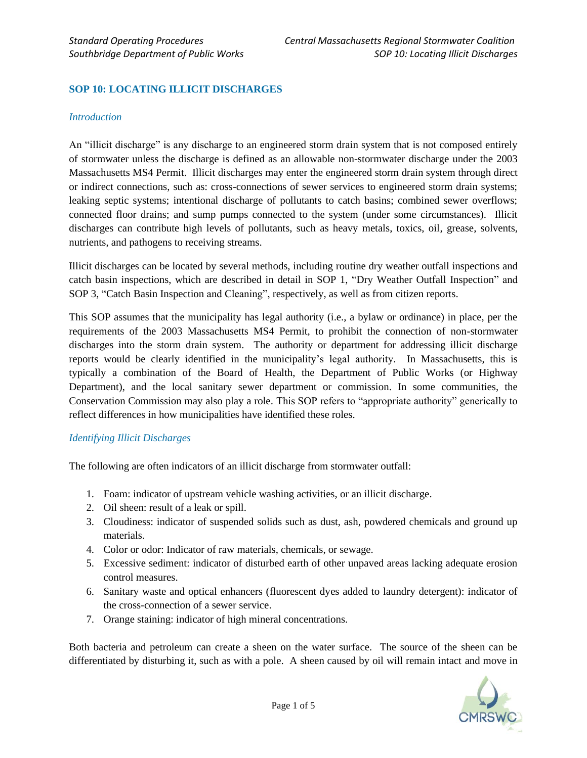# **SOP 10: LOCATING ILLICIT DISCHARGES**

#### *Introduction*

An "illicit discharge" is any discharge to an engineered storm drain system that is not composed entirely of stormwater unless the discharge is defined as an allowable non-stormwater discharge under the 2003 Massachusetts MS4 Permit. Illicit discharges may enter the engineered storm drain system through direct or indirect connections, such as: cross-connections of sewer services to engineered storm drain systems; leaking septic systems; intentional discharge of pollutants to catch basins; combined sewer overflows; connected floor drains; and sump pumps connected to the system (under some circumstances). Illicit discharges can contribute high levels of pollutants, such as heavy metals, toxics, oil, grease, solvents, nutrients, and pathogens to receiving streams.

Illicit discharges can be located by several methods, including routine dry weather outfall inspections and catch basin inspections, which are described in detail in SOP 1, "Dry Weather Outfall Inspection" and SOP 3, "Catch Basin Inspection and Cleaning", respectively, as well as from citizen reports.

This SOP assumes that the municipality has legal authority (i.e., a bylaw or ordinance) in place, per the requirements of the 2003 Massachusetts MS4 Permit, to prohibit the connection of non-stormwater discharges into the storm drain system. The authority or department for addressing illicit discharge reports would be clearly identified in the municipality's legal authority. In Massachusetts, this is typically a combination of the Board of Health, the Department of Public Works (or Highway Department), and the local sanitary sewer department or commission. In some communities, the Conservation Commission may also play a role. This SOP refers to "appropriate authority" generically to reflect differences in how municipalities have identified these roles.

#### *Identifying Illicit Discharges*

The following are often indicators of an illicit discharge from stormwater outfall:

- 1. Foam: indicator of upstream vehicle washing activities, or an illicit discharge.
- 2. Oil sheen: result of a leak or spill.
- 3. Cloudiness: indicator of suspended solids such as dust, ash, powdered chemicals and ground up materials.
- 4. Color or odor: Indicator of raw materials, chemicals, or sewage.
- 5. Excessive sediment: indicator of disturbed earth of other unpaved areas lacking adequate erosion control measures.
- 6. Sanitary waste and optical enhancers (fluorescent dyes added to laundry detergent): indicator of the cross-connection of a sewer service.
- 7. Orange staining: indicator of high mineral concentrations.

Both bacteria and petroleum can create a sheen on the water surface. The source of the sheen can be differentiated by disturbing it, such as with a pole. A sheen caused by oil will remain intact and move in

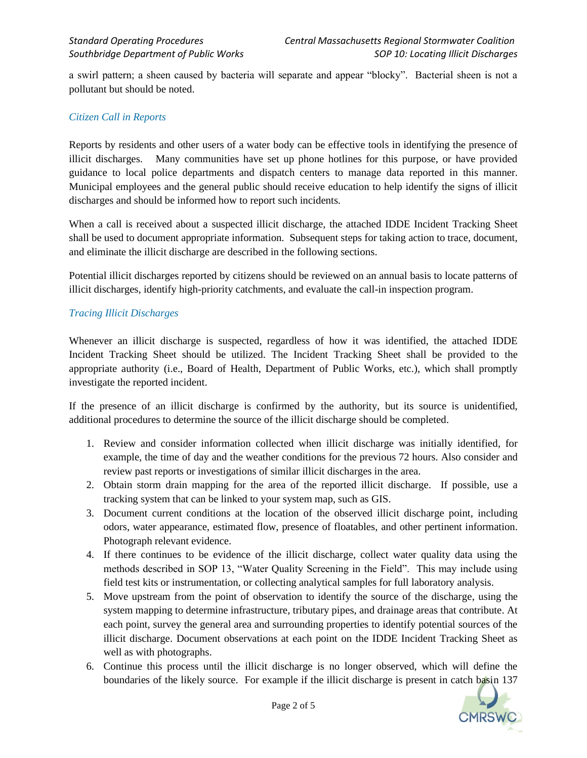a swirl pattern; a sheen caused by bacteria will separate and appear "blocky". Bacterial sheen is not a pollutant but should be noted.

#### *Citizen Call in Reports*

Reports by residents and other users of a water body can be effective tools in identifying the presence of illicit discharges. Many communities have set up phone hotlines for this purpose, or have provided guidance to local police departments and dispatch centers to manage data reported in this manner. Municipal employees and the general public should receive education to help identify the signs of illicit discharges and should be informed how to report such incidents.

When a call is received about a suspected illicit discharge, the attached IDDE Incident Tracking Sheet shall be used to document appropriate information. Subsequent steps for taking action to trace, document, and eliminate the illicit discharge are described in the following sections.

Potential illicit discharges reported by citizens should be reviewed on an annual basis to locate patterns of illicit discharges, identify high-priority catchments, and evaluate the call-in inspection program.

#### *Tracing Illicit Discharges*

Whenever an illicit discharge is suspected, regardless of how it was identified, the attached IDDE Incident Tracking Sheet should be utilized. The Incident Tracking Sheet shall be provided to the appropriate authority (i.e., Board of Health, Department of Public Works, etc.), which shall promptly investigate the reported incident.

If the presence of an illicit discharge is confirmed by the authority, but its source is unidentified, additional procedures to determine the source of the illicit discharge should be completed.

- 1. Review and consider information collected when illicit discharge was initially identified, for example, the time of day and the weather conditions for the previous 72 hours. Also consider and review past reports or investigations of similar illicit discharges in the area.
- 2. Obtain storm drain mapping for the area of the reported illicit discharge. If possible, use a tracking system that can be linked to your system map, such as GIS.
- 3. Document current conditions at the location of the observed illicit discharge point, including odors, water appearance, estimated flow, presence of floatables, and other pertinent information. Photograph relevant evidence.
- 4. If there continues to be evidence of the illicit discharge, collect water quality data using the methods described in SOP 13, "Water Quality Screening in the Field". This may include using field test kits or instrumentation, or collecting analytical samples for full laboratory analysis.
- 5. Move upstream from the point of observation to identify the source of the discharge, using the system mapping to determine infrastructure, tributary pipes, and drainage areas that contribute. At each point, survey the general area and surrounding properties to identify potential sources of the illicit discharge. Document observations at each point on the IDDE Incident Tracking Sheet as well as with photographs.
- 6. Continue this process until the illicit discharge is no longer observed, which will define the boundaries of the likely source. For example if the illicit discharge is present in catch basin 137

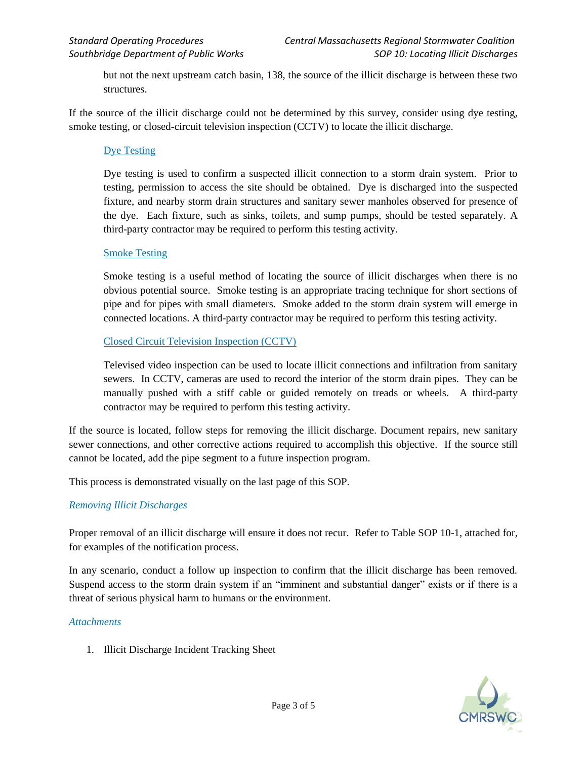but not the next upstream catch basin, 138, the source of the illicit discharge is between these two structures.

If the source of the illicit discharge could not be determined by this survey, consider using dye testing, smoke testing, or closed-circuit television inspection (CCTV) to locate the illicit discharge.

## Dye Testing

Dye testing is used to confirm a suspected illicit connection to a storm drain system. Prior to testing, permission to access the site should be obtained. Dye is discharged into the suspected fixture, and nearby storm drain structures and sanitary sewer manholes observed for presence of the dye. Each fixture, such as sinks, toilets, and sump pumps, should be tested separately. A third-party contractor may be required to perform this testing activity.

#### Smoke Testing

Smoke testing is a useful method of locating the source of illicit discharges when there is no obvious potential source. Smoke testing is an appropriate tracing technique for short sections of pipe and for pipes with small diameters. Smoke added to the storm drain system will emerge in connected locations. A third-party contractor may be required to perform this testing activity.

### Closed Circuit Television Inspection (CCTV)

Televised video inspection can be used to locate illicit connections and infiltration from sanitary sewers. In CCTV, cameras are used to record the interior of the storm drain pipes. They can be manually pushed with a stiff cable or guided remotely on treads or wheels. A third-party contractor may be required to perform this testing activity.

If the source is located, follow steps for removing the illicit discharge. Document repairs, new sanitary sewer connections, and other corrective actions required to accomplish this objective. If the source still cannot be located, add the pipe segment to a future inspection program.

This process is demonstrated visually on the last page of this SOP.

#### *Removing Illicit Discharges*

Proper removal of an illicit discharge will ensure it does not recur. Refer to Table SOP 10-1, attached for, for examples of the notification process.

In any scenario, conduct a follow up inspection to confirm that the illicit discharge has been removed. Suspend access to the storm drain system if an "imminent and substantial danger" exists or if there is a threat of serious physical harm to humans or the environment.

#### *Attachments*

1. Illicit Discharge Incident Tracking Sheet

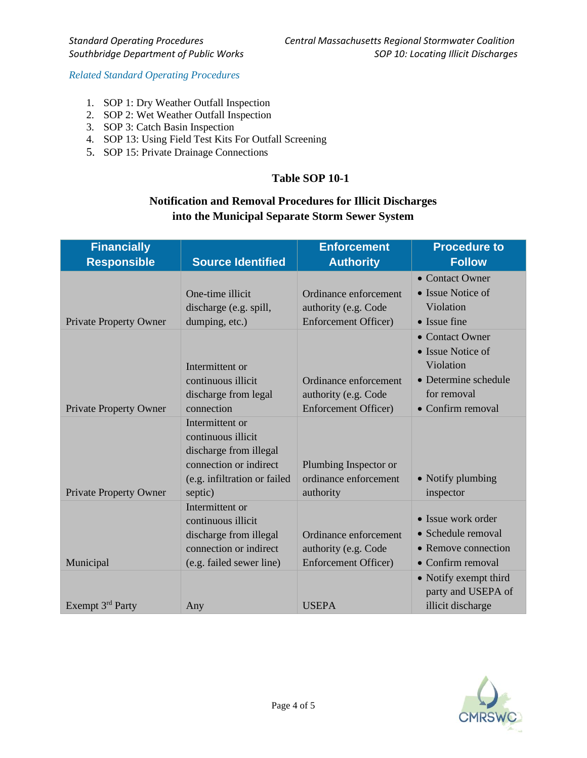*Related Standard Operating Procedures*

- 1. SOP 1: Dry Weather Outfall Inspection
- 2. SOP 2: Wet Weather Outfall Inspection
- 3. SOP 3: Catch Basin Inspection
- 4. SOP 13: Using Field Test Kits For Outfall Screening
- 5. SOP 15: Private Drainage Connections

# **Table SOP 10-1**

# **Notification and Removal Procedures for Illicit Discharges into the Municipal Separate Storm Sewer System**

| <b>Financially</b>            |                                                                                                                                      | <b>Enforcement</b>                                          | <b>Procedure to</b>                                                                      |
|-------------------------------|--------------------------------------------------------------------------------------------------------------------------------------|-------------------------------------------------------------|------------------------------------------------------------------------------------------|
| <b>Responsible</b>            | <b>Source Identified</b>                                                                                                             | <b>Authority</b>                                            | <b>Follow</b>                                                                            |
|                               | One-time illicit                                                                                                                     | Ordinance enforcement                                       | • Contact Owner<br>• Issue Notice of<br>Violation                                        |
| <b>Private Property Owner</b> | discharge (e.g. spill,<br>dumping, etc.)                                                                                             | authority (e.g. Code<br><b>Enforcement Officer)</b>         | • Issue fine                                                                             |
|                               | Intermittent or<br>continuous illicit<br>discharge from legal                                                                        | Ordinance enforcement<br>authority (e.g. Code               | • Contact Owner<br>• Issue Notice of<br>Violation<br>• Determine schedule<br>for removal |
| <b>Private Property Owner</b> | connection                                                                                                                           | <b>Enforcement Officer)</b>                                 | • Confirm removal                                                                        |
| <b>Private Property Owner</b> | Intermittent or<br>continuous illicit<br>discharge from illegal<br>connection or indirect<br>(e.g. infiltration or failed<br>septic) | Plumbing Inspector or<br>ordinance enforcement<br>authority | • Notify plumbing<br>inspector                                                           |
|                               | Intermittent or<br>continuous illicit<br>discharge from illegal<br>connection or indirect                                            | Ordinance enforcement<br>authority (e.g. Code               | • Issue work order<br>• Schedule removal<br>• Remove connection                          |
| Municipal                     | (e.g. failed sewer line)                                                                                                             | <b>Enforcement Officer)</b>                                 | • Confirm removal                                                                        |
| Exempt 3 <sup>rd</sup> Party  | Any                                                                                                                                  | <b>USEPA</b>                                                | • Notify exempt third<br>party and USEPA of<br>illicit discharge                         |